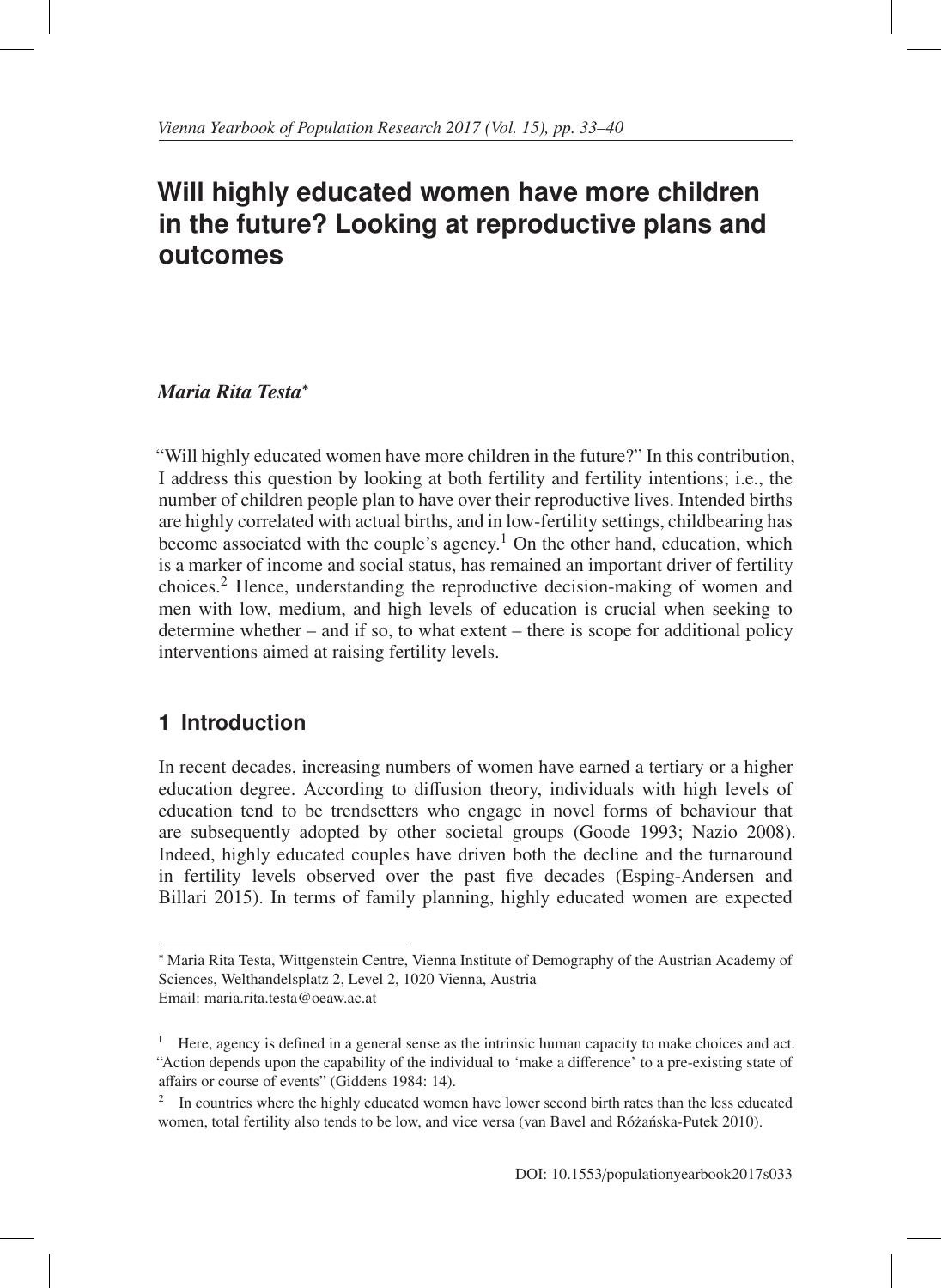# **Will highly educated women have more children in the future? Looking at reproductive plans and outcomes**

### *Maria Rita Testa*<sup>∗</sup>

"Will highly educated women have more children in the future?" In this contribution, I address this question by looking at both fertility and fertility intentions; i.e., the number of children people plan to have over their reproductive lives. Intended births are highly correlated with actual births, and in low-fertility settings, childbearing has become associated with the couple's agency.<sup>1</sup> On the other hand, education, which is a marker of income and social status, has remained an important driver of fertility choices.<sup>2</sup> Hence, understanding the reproductive decision-making of women and men with low, medium, and high levels of education is crucial when seeking to determine whether – and if so, to what extent – there is scope for additional policy interventions aimed at raising fertility levels.

# **1 Introduction**

In recent decades, increasing numbers of women have earned a tertiary or a higher education degree. According to diffusion theory, individuals with high levels of education tend to be trendsetters who engage in novel forms of behaviour that are subsequently adopted by other societal groups (Goode 1993; Nazio 2008). Indeed, highly educated couples have driven both the decline and the turnaround in fertility levels observed over the past five decades (Esping-Andersen and Billari 2015). In terms of family planning, highly educated women are expected

<sup>∗</sup> Maria Rita Testa, Wittgenstein Centre, Vienna Institute of Demography of the Austrian Academy of Sciences, Welthandelsplatz 2, Level 2, 1020 Vienna, Austria Email: maria.rita.testa@oeaw.ac.at

<sup>&</sup>lt;sup>1</sup> Here, agency is defined in a general sense as the intrinsic human capacity to make choices and act. "Action depends upon the capability of the individual to 'make a difference' to a pre-existing state of affairs or course of events" (Giddens 1984: 14).

<sup>&</sup>lt;sup>2</sup> In countries where the highly educated women have lower second birth rates than the less educated women, total fertility also tends to be low, and vice versa (van Bavel and Różańska-Putek 2010).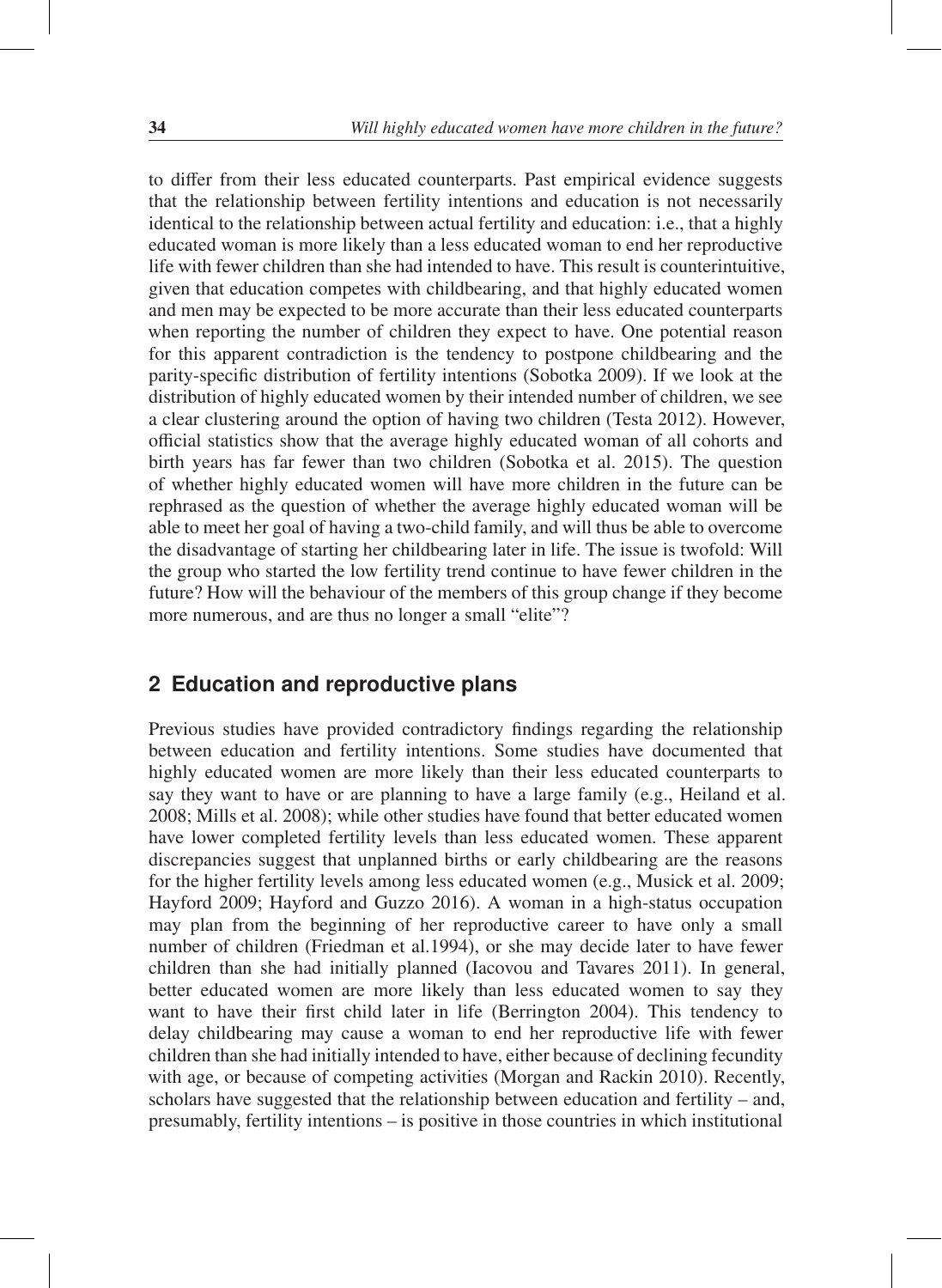to differ from their less educated counterparts. Past empirical evidence suggests that the relationship between fertility intentions and education is not necessarily identical to the relationship between actual fertility and education: i.e., that a highly educated woman is more likely than a less educated woman to end her reproductive life with fewer children than she had intended to have. This result is counterintuitive, given that education competes with childbearing, and that highly educated women and men may be expected to be more accurate than their less educated counterparts when reporting the number of children they expect to have. One potential reason for this apparent contradiction is the tendency to postpone childbearing and the parity-specific distribution of fertility intentions (Sobotka 2009). If we look at the distribution of highly educated women by their intended number of children, we see a clear clustering around the option of having two children (Testa 2012). However, official statistics show that the average highly educated woman of all cohorts and birth years has far fewer than two children (Sobotka et al. 2015). The question of whether highly educated women will have more children in the future can be rephrased as the question of whether the average highly educated woman will be able to meet her goal of having a two-child family, and will thus be able to overcome the disadvantage of starting her childbearing later in life. The issue is twofold: Will the group who started the low fertility trend continue to have fewer children in the future? How will the behaviour of the members of this group change if they become more numerous, and are thus no longer a small "elite"?

#### **2 Education and reproductive plans**

Previous studies have provided contradictory findings regarding the relationship between education and fertility intentions. Some studies have documented that highly educated women are more likely than their less educated counterparts to say they want to have or are planning to have a large family (e.g., Heiland et al. 2008; Mills et al. 2008); while other studies have found that better educated women have lower completed fertility levels than less educated women. These apparent discrepancies suggest that unplanned births or early childbearing are the reasons for the higher fertility levels among less educated women (e.g., Musick et al. 2009; Hayford 2009; Hayford and Guzzo 2016). A woman in a high-status occupation may plan from the beginning of her reproductive career to have only a small number of children (Friedman et al.1994), or she may decide later to have fewer children than she had initially planned (Iacovou and Tavares 2011). In general, better educated women are more likely than less educated women to say they want to have their first child later in life (Berrington 2004). This tendency to delay childbearing may cause a woman to end her reproductive life with fewer children than she had initially intended to have, either because of declining fecundity with age, or because of competing activities (Morgan and Rackin 2010). Recently, scholars have suggested that the relationship between education and fertility – and, presumably, fertility intentions – is positive in those countries in which institutional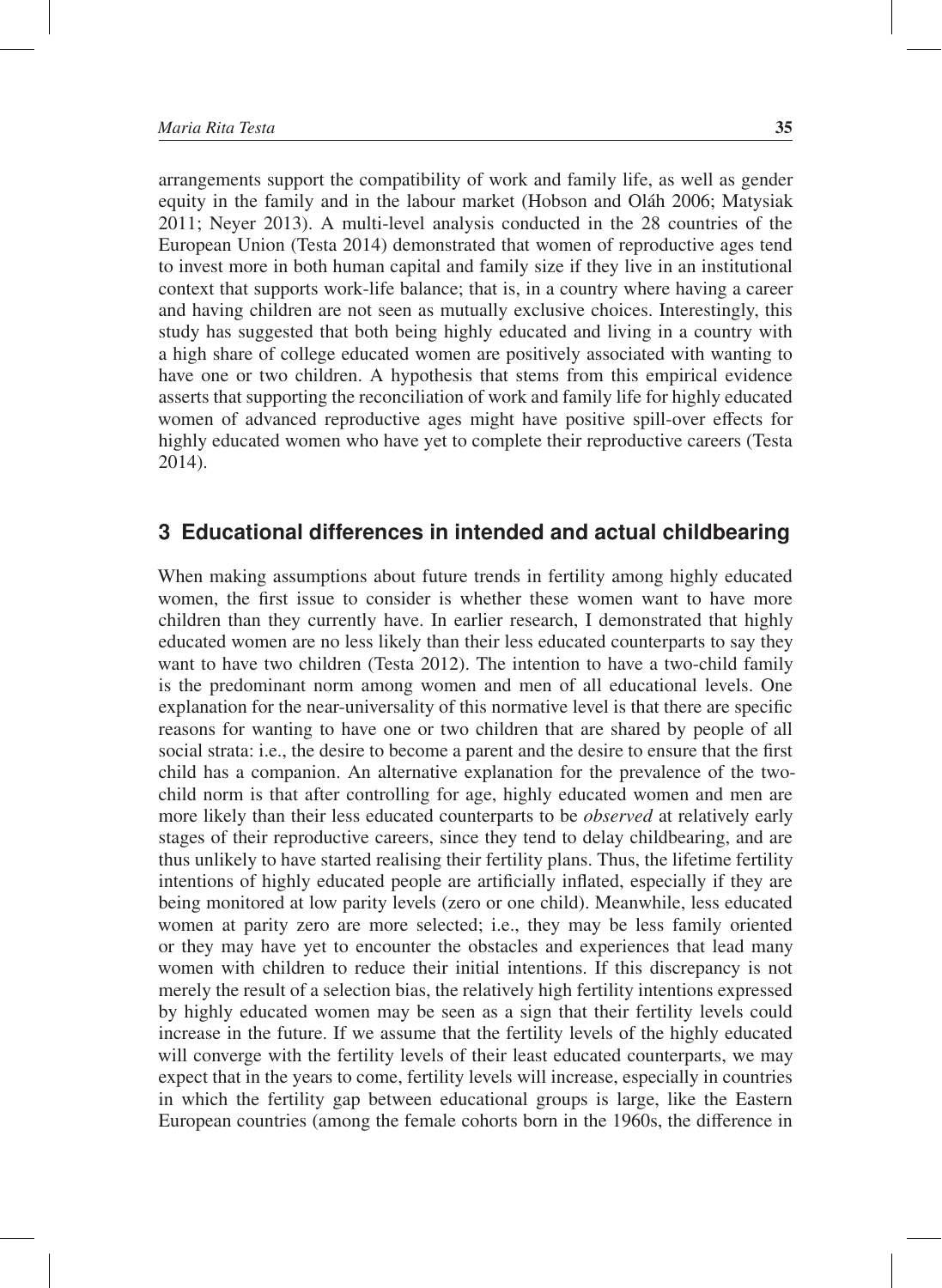arrangements support the compatibility of work and family life, as well as gender equity in the family and in the labour market (Hobson and Oláh 2006; Matysiak 2011; Neyer 2013). A multi-level analysis conducted in the 28 countries of the European Union (Testa 2014) demonstrated that women of reproductive ages tend to invest more in both human capital and family size if they live in an institutional context that supports work-life balance; that is, in a country where having a career and having children are not seen as mutually exclusive choices. Interestingly, this study has suggested that both being highly educated and living in a country with a high share of college educated women are positively associated with wanting to have one or two children. A hypothesis that stems from this empirical evidence asserts that supporting the reconciliation of work and family life for highly educated women of advanced reproductive ages might have positive spill-over effects for highly educated women who have yet to complete their reproductive careers (Testa 2014).

#### **3 Educational differences in intended and actual childbearing**

When making assumptions about future trends in fertility among highly educated women, the first issue to consider is whether these women want to have more children than they currently have. In earlier research, I demonstrated that highly educated women are no less likely than their less educated counterparts to say they want to have two children (Testa 2012). The intention to have a two-child family is the predominant norm among women and men of all educational levels. One explanation for the near-universality of this normative level is that there are specific reasons for wanting to have one or two children that are shared by people of all social strata: i.e., the desire to become a parent and the desire to ensure that the first child has a companion. An alternative explanation for the prevalence of the twochild norm is that after controlling for age, highly educated women and men are more likely than their less educated counterparts to be *observed* at relatively early stages of their reproductive careers, since they tend to delay childbearing, and are thus unlikely to have started realising their fertility plans. Thus, the lifetime fertility intentions of highly educated people are artificially inflated, especially if they are being monitored at low parity levels (zero or one child). Meanwhile, less educated women at parity zero are more selected; i.e., they may be less family oriented or they may have yet to encounter the obstacles and experiences that lead many women with children to reduce their initial intentions. If this discrepancy is not merely the result of a selection bias, the relatively high fertility intentions expressed by highly educated women may be seen as a sign that their fertility levels could increase in the future. If we assume that the fertility levels of the highly educated will converge with the fertility levels of their least educated counterparts, we may expect that in the years to come, fertility levels will increase, especially in countries in which the fertility gap between educational groups is large, like the Eastern European countries (among the female cohorts born in the 1960s, the difference in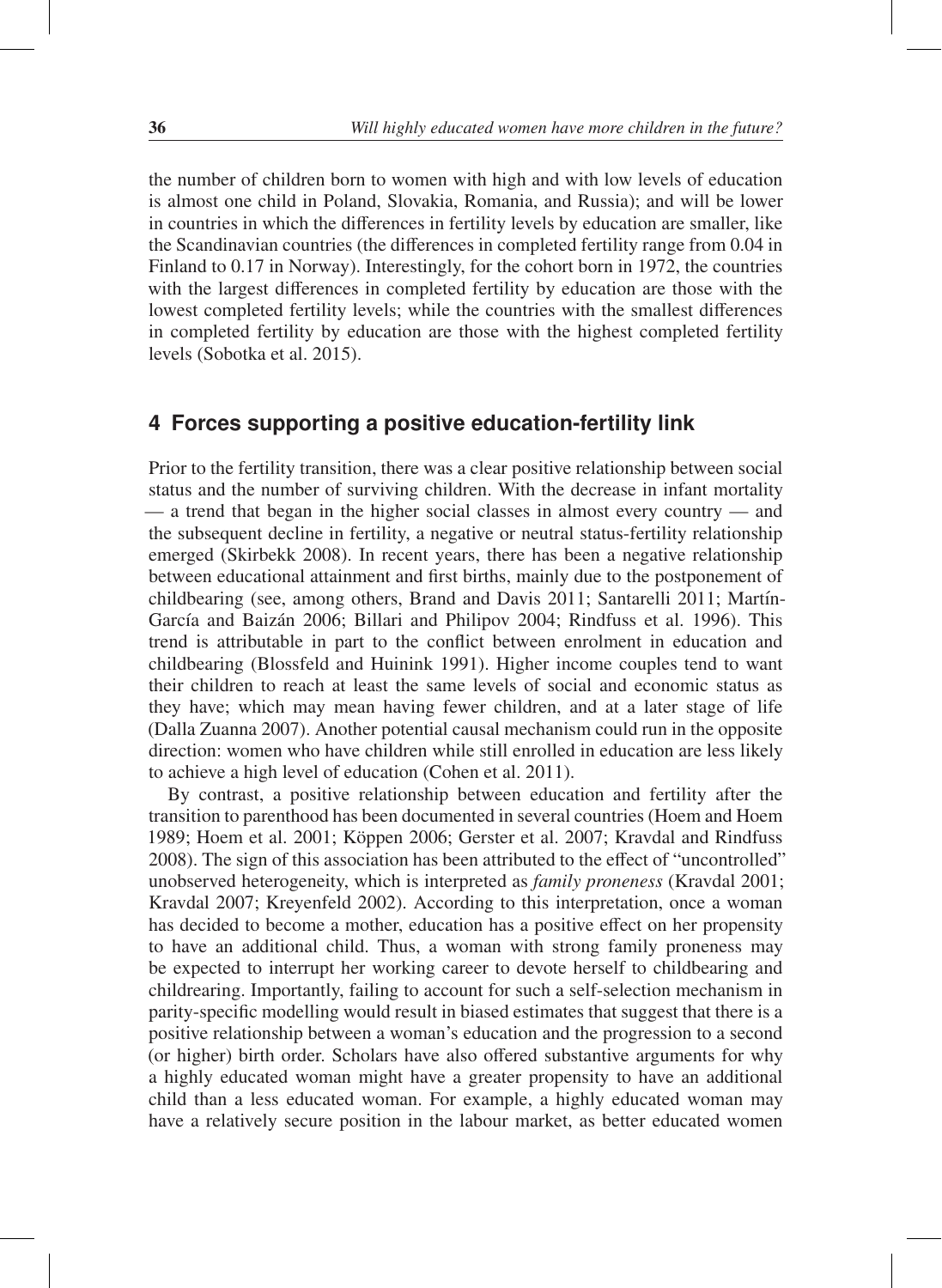the number of children born to women with high and with low levels of education is almost one child in Poland, Slovakia, Romania, and Russia); and will be lower in countries in which the differences in fertility levels by education are smaller, like the Scandinavian countries (the differences in completed fertility range from 0.04 in Finland to 0.17 in Norway). Interestingly, for the cohort born in 1972, the countries with the largest differences in completed fertility by education are those with the lowest completed fertility levels; while the countries with the smallest differences in completed fertility by education are those with the highest completed fertility levels (Sobotka et al. 2015).

#### **4 Forces supporting a positive education-fertility link**

Prior to the fertility transition, there was a clear positive relationship between social status and the number of surviving children. With the decrease in infant mortality — a trend that began in the higher social classes in almost every country — and the subsequent decline in fertility, a negative or neutral status-fertility relationship emerged (Skirbekk 2008). In recent years, there has been a negative relationship between educational attainment and first births, mainly due to the postponement of childbearing (see, among others, Brand and Davis 2011; Santarelli 2011; Martín-García and Baizán 2006; Billari and Philipov 2004; Rindfuss et al. 1996). This trend is attributable in part to the conflict between enrolment in education and childbearing (Blossfeld and Huinink 1991). Higher income couples tend to want their children to reach at least the same levels of social and economic status as they have; which may mean having fewer children, and at a later stage of life (Dalla Zuanna 2007). Another potential causal mechanism could run in the opposite direction: women who have children while still enrolled in education are less likely to achieve a high level of education (Cohen et al. 2011).

By contrast, a positive relationship between education and fertility after the transition to parenthood has been documented in several countries (Hoem and Hoem 1989; Hoem et al. 2001; Köppen 2006; Gerster et al. 2007; Kravdal and Rindfuss 2008). The sign of this association has been attributed to the effect of "uncontrolled" unobserved heterogeneity, which is interpreted as *family proneness* (Kravdal 2001; Kravdal 2007; Kreyenfeld 2002). According to this interpretation, once a woman has decided to become a mother, education has a positive effect on her propensity to have an additional child. Thus, a woman with strong family proneness may be expected to interrupt her working career to devote herself to childbearing and childrearing. Importantly, failing to account for such a self-selection mechanism in parity-specific modelling would result in biased estimates that suggest that there is a positive relationship between a woman's education and the progression to a second (or higher) birth order. Scholars have also offered substantive arguments for why a highly educated woman might have a greater propensity to have an additional child than a less educated woman. For example, a highly educated woman may have a relatively secure position in the labour market, as better educated women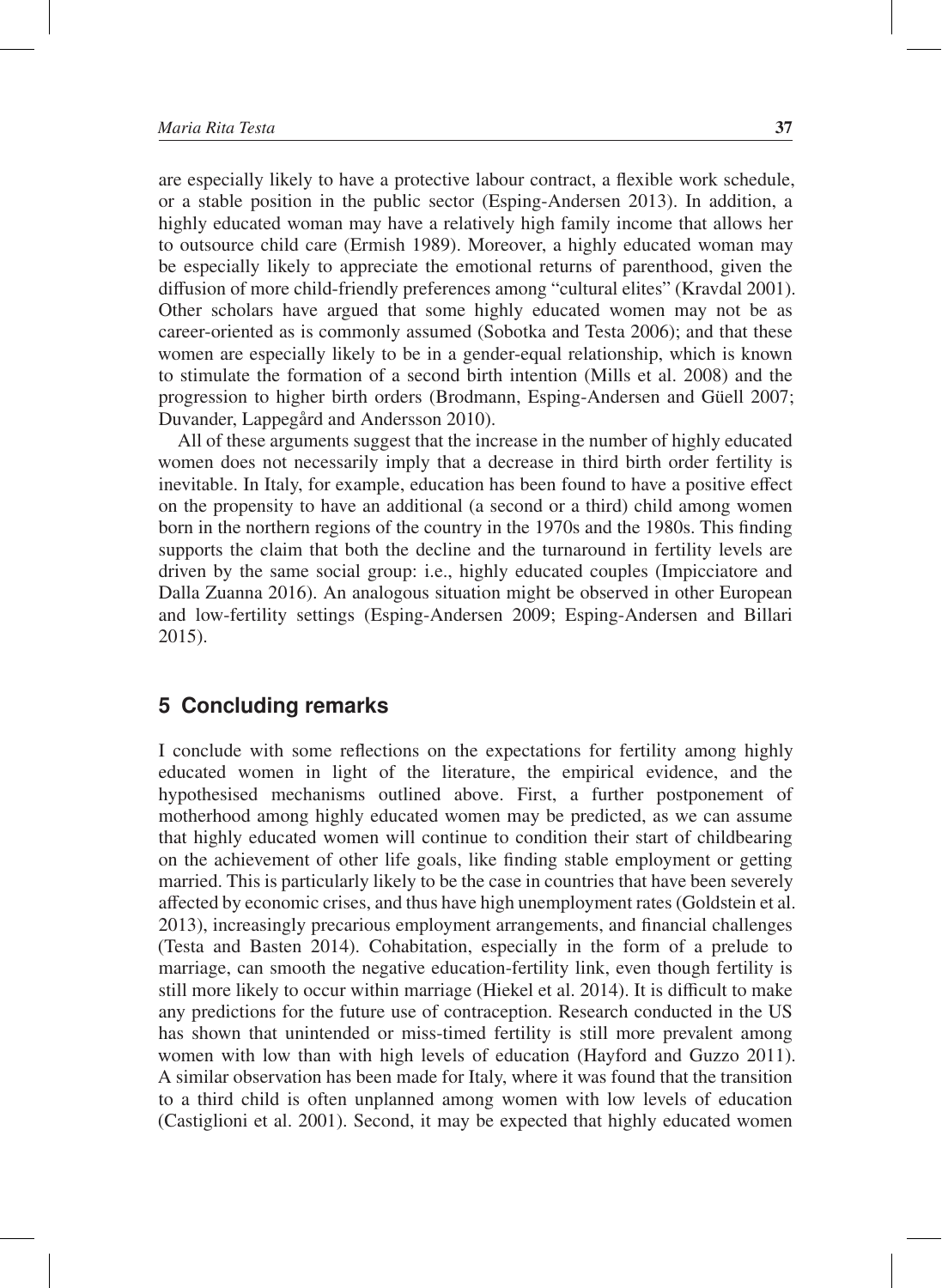are especially likely to have a protective labour contract, a flexible work schedule, or a stable position in the public sector (Esping-Andersen 2013). In addition, a highly educated woman may have a relatively high family income that allows her to outsource child care (Ermish 1989). Moreover, a highly educated woman may be especially likely to appreciate the emotional returns of parenthood, given the diffusion of more child-friendly preferences among "cultural elites" (Kravdal 2001). Other scholars have argued that some highly educated women may not be as career-oriented as is commonly assumed (Sobotka and Testa 2006); and that these women are especially likely to be in a gender-equal relationship, which is known to stimulate the formation of a second birth intention (Mills et al. 2008) and the progression to higher birth orders (Brodmann, Esping-Andersen and Güell 2007; Duvander, Lappegård and Andersson 2010).

All of these arguments suggest that the increase in the number of highly educated women does not necessarily imply that a decrease in third birth order fertility is inevitable. In Italy, for example, education has been found to have a positive effect on the propensity to have an additional (a second or a third) child among women born in the northern regions of the country in the 1970s and the 1980s. This finding supports the claim that both the decline and the turnaround in fertility levels are driven by the same social group: i.e., highly educated couples (Impicciatore and Dalla Zuanna 2016). An analogous situation might be observed in other European and low-fertility settings (Esping-Andersen 2009; Esping-Andersen and Billari 2015).

## **5 Concluding remarks**

I conclude with some reflections on the expectations for fertility among highly educated women in light of the literature, the empirical evidence, and the hypothesised mechanisms outlined above. First, a further postponement of motherhood among highly educated women may be predicted, as we can assume that highly educated women will continue to condition their start of childbearing on the achievement of other life goals, like finding stable employment or getting married. This is particularly likely to be the case in countries that have been severely affected by economic crises, and thus have high unemployment rates (Goldstein et al. 2013), increasingly precarious employment arrangements, and financial challenges (Testa and Basten 2014). Cohabitation, especially in the form of a prelude to marriage, can smooth the negative education-fertility link, even though fertility is still more likely to occur within marriage (Hiekel et al. 2014). It is difficult to make any predictions for the future use of contraception. Research conducted in the US has shown that unintended or miss-timed fertility is still more prevalent among women with low than with high levels of education (Hayford and Guzzo 2011). A similar observation has been made for Italy, where it was found that the transition to a third child is often unplanned among women with low levels of education (Castiglioni et al. 2001). Second, it may be expected that highly educated women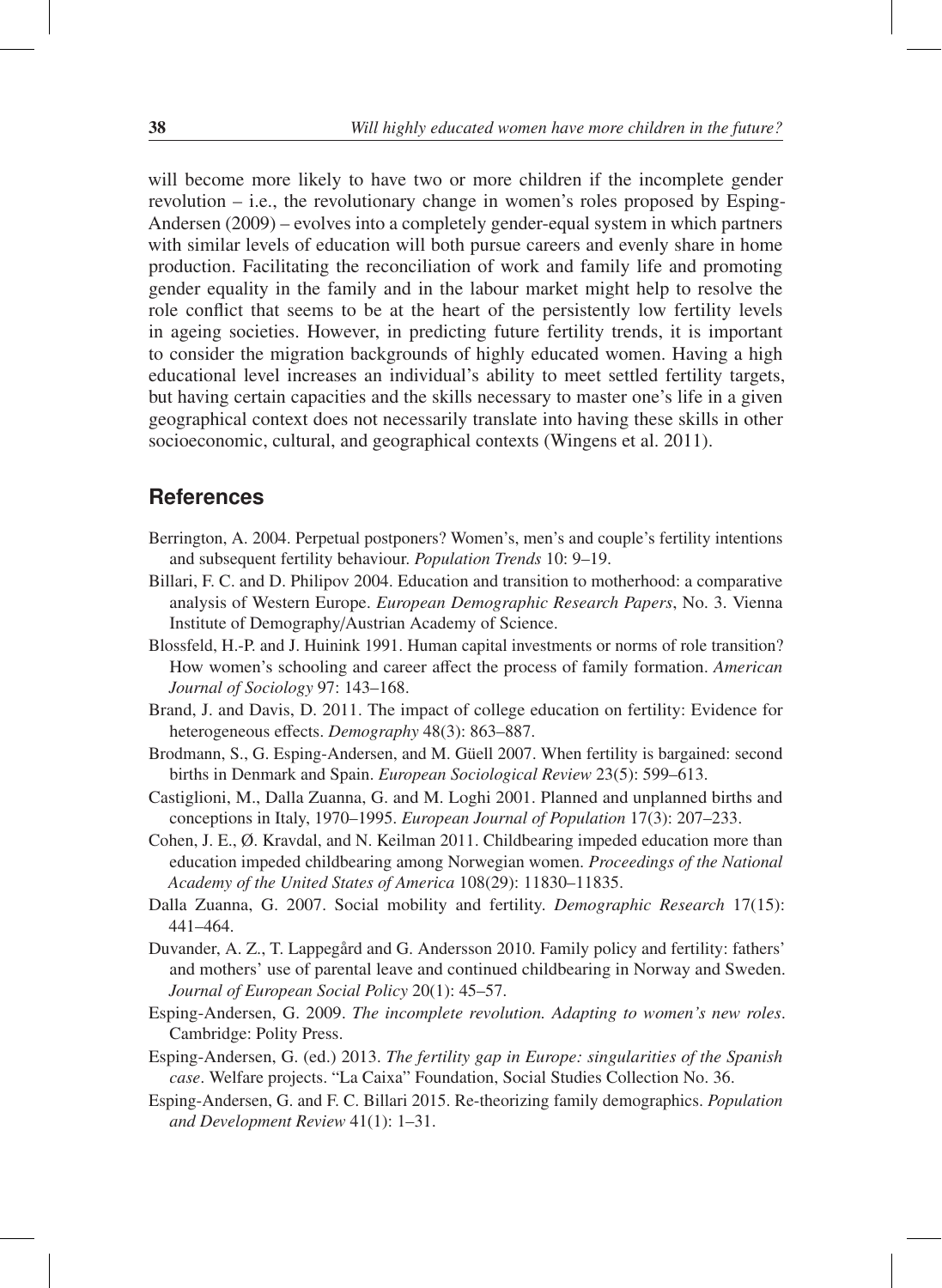will become more likely to have two or more children if the incomplete gender revolution – i.e., the revolutionary change in women's roles proposed by Esping-Andersen (2009) – evolves into a completely gender-equal system in which partners with similar levels of education will both pursue careers and evenly share in home production. Facilitating the reconciliation of work and family life and promoting gender equality in the family and in the labour market might help to resolve the role conflict that seems to be at the heart of the persistently low fertility levels in ageing societies. However, in predicting future fertility trends, it is important to consider the migration backgrounds of highly educated women. Having a high educational level increases an individual's ability to meet settled fertility targets, but having certain capacities and the skills necessary to master one's life in a given geographical context does not necessarily translate into having these skills in other socioeconomic, cultural, and geographical contexts (Wingens et al. 2011).

#### **References**

- Berrington, A. 2004. Perpetual postponers? Women's, men's and couple's fertility intentions and subsequent fertility behaviour. *Population Trends* 10: 9–19.
- Billari, F. C. and D. Philipov 2004. Education and transition to motherhood: a comparative analysis of Western Europe. *European Demographic Research Papers*, No. 3. Vienna Institute of Demography/Austrian Academy of Science.
- Blossfeld, H.-P. and J. Huinink 1991. Human capital investments or norms of role transition? How women's schooling and career affect the process of family formation. *American Journal of Sociology* 97: 143–168.
- Brand, J. and Davis, D. 2011. The impact of college education on fertility: Evidence for heterogeneous effects. *Demography* 48(3): 863–887.
- Brodmann, S., G. Esping-Andersen, and M. Güell 2007. When fertility is bargained: second births in Denmark and Spain. *European Sociological Review* 23(5): 599–613.
- Castiglioni, M., Dalla Zuanna, G. and M. Loghi 2001. Planned and unplanned births and conceptions in Italy, 1970–1995. *European Journal of Population* 17(3): 207–233.
- Cohen, J. E., Ø. Kravdal, and N. Keilman 2011. Childbearing impeded education more than education impeded childbearing among Norwegian women. *Proceedings of the National Academy of the United States of America* 108(29): 11830–11835.
- Dalla Zuanna, G. 2007. Social mobility and fertility. *Demographic Research* 17(15): 441–464.
- Duvander, A. Z., T. Lappegård and G. Andersson 2010. Family policy and fertility: fathers' and mothers' use of parental leave and continued childbearing in Norway and Sweden. *Journal of European Social Policy* 20(1): 45–57.
- Esping-Andersen, G. 2009. *The incomplete revolution. Adapting to women's new roles*. Cambridge: Polity Press.
- Esping-Andersen, G. (ed.) 2013. *The fertility gap in Europe: singularities of the Spanish case*. Welfare projects. "La Caixa" Foundation, Social Studies Collection No. 36.
- Esping-Andersen, G. and F. C. Billari 2015. Re-theorizing family demographics. *Population and Development Review* 41(1): 1–31.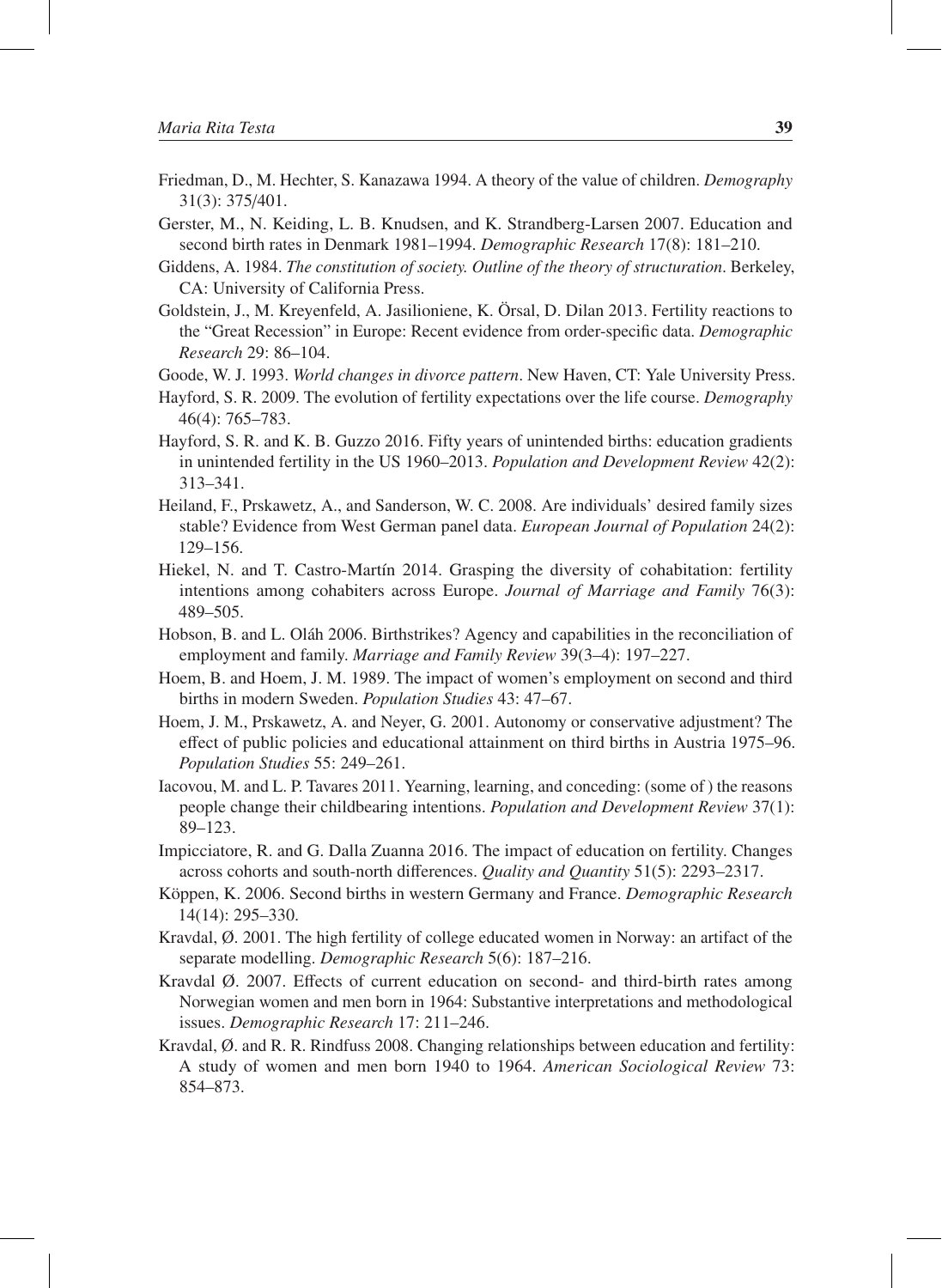- Friedman, D., M. Hechter, S. Kanazawa 1994. A theory of the value of children. *Demography* 31(3): 375/401.
- Gerster, M., N. Keiding, L. B. Knudsen, and K. Strandberg-Larsen 2007. Education and second birth rates in Denmark 1981–1994. *Demographic Research* 17(8): 181–210.
- Giddens, A. 1984. *The constitution of society. Outline of the theory of structuration*. Berkeley, CA: University of California Press.
- Goldstein, J., M. Kreyenfeld, A. Jasilioniene, K. Orsal, D. Dilan 2013. Fertility reactions to ¨ the "Great Recession" in Europe: Recent evidence from order-specific data. *Demographic Research* 29: 86–104.
- Goode, W. J. 1993. *World changes in divorce pattern*. New Haven, CT: Yale University Press.
- Hayford, S. R. 2009. The evolution of fertility expectations over the life course. *Demography* 46(4): 765–783.
- Hayford, S. R. and K. B. Guzzo 2016. Fifty years of unintended births: education gradients in unintended fertility in the US 1960–2013. *Population and Development Review* 42(2): 313–341.
- Heiland, F., Prskawetz, A., and Sanderson, W. C. 2008. Are individuals' desired family sizes stable? Evidence from West German panel data. *European Journal of Population* 24(2): 129–156.
- Hiekel, N. and T. Castro-Martín 2014. Grasping the diversity of cohabitation: fertility intentions among cohabiters across Europe. *Journal of Marriage and Family* 76(3): 489–505.
- Hobson, B. and L. Oláh 2006. Birthstrikes? Agency and capabilities in the reconciliation of employment and family. *Marriage and Family Review* 39(3–4): 197–227.
- Hoem, B. and Hoem, J. M. 1989. The impact of women's employment on second and third births in modern Sweden. *Population Studies* 43: 47–67.
- Hoem, J. M., Prskawetz, A. and Neyer, G. 2001. Autonomy or conservative adjustment? The effect of public policies and educational attainment on third births in Austria 1975–96. *Population Studies* 55: 249–261.
- Iacovou, M. and L. P. Tavares 2011. Yearning, learning, and conceding: (some of ) the reasons people change their childbearing intentions. *Population and Development Review* 37(1): 89–123.
- Impicciatore, R. and G. Dalla Zuanna 2016. The impact of education on fertility. Changes across cohorts and south-north differences. *Quality and Quantity* 51(5): 2293–2317.
- Köppen, K. 2006. Second births in western Germany and France. *Demographic Research* 14(14): 295–330.
- Kravdal, Ø. 2001. The high fertility of college educated women in Norway: an artifact of the separate modelling. *Demographic Research* 5(6): 187–216.
- Kravdal Ø. 2007. Effects of current education on second- and third-birth rates among Norwegian women and men born in 1964: Substantive interpretations and methodological issues. *Demographic Research* 17: 211–246.
- Kravdal, Ø. and R. R. Rindfuss 2008. Changing relationships between education and fertility: A study of women and men born 1940 to 1964. *American Sociological Review* 73: 854–873.